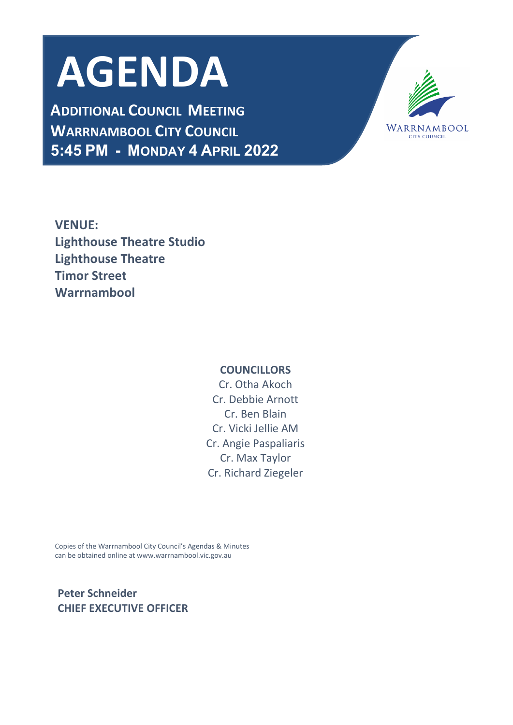# **AGENDA**

**ADDITIONAL COUNCIL MEETING WARRNAMBOOL CITY COUNCIL 5:45 PM - MONDAY 4 APRIL 2022**



**VENUE: Lighthouse Theatre Studio Lighthouse Theatre Timor Street Warrnambool**

## **COUNCILLORS**

Cr. Otha Akoch Cr. Debbie Arnott Cr. Ben Blain Cr. Vicki Jellie AM Cr. Angie Paspaliaris Cr. Max Taylor Cr. Richard Ziegeler

Copies of the Warrnambool City Council's Agendas & Minutes can be obtained online at www.warrnambool.vic.gov.au

 **Peter Schneider CHIEF EXECUTIVE OFFICER**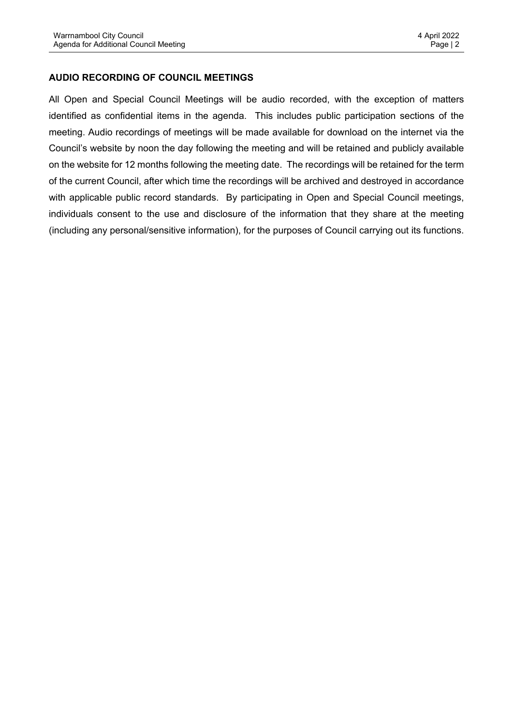## **AUDIO RECORDING OF COUNCIL MEETINGS**

All Open and Special Council Meetings will be audio recorded, with the exception of matters identified as confidential items in the agenda. This includes public participation sections of the meeting. Audio recordings of meetings will be made available for download on the internet via the Council's website by noon the day following the meeting and will be retained and publicly available on the website for 12 months following the meeting date. The recordings will be retained for the term of the current Council, after which time the recordings will be archived and destroyed in accordance with applicable public record standards. By participating in Open and Special Council meetings, individuals consent to the use and disclosure of the information that they share at the meeting (including any personal/sensitive information), for the purposes of Council carrying out its functions.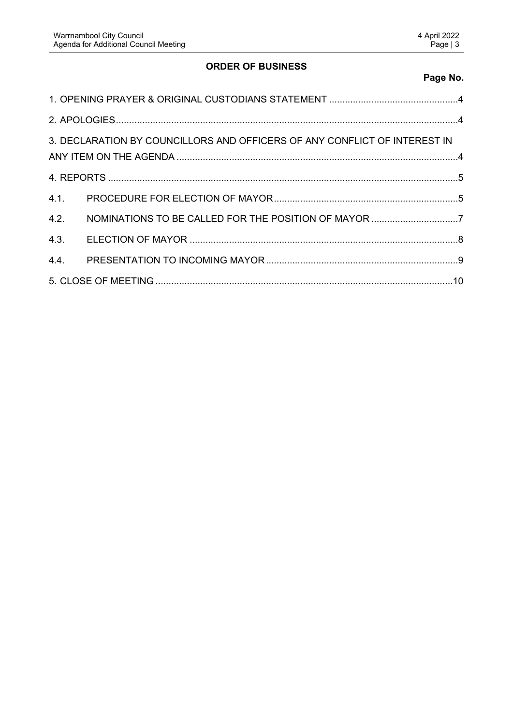## **ORDER OF BUSINESS**

# **Page No.**

|      | 3. DECLARATION BY COUNCILLORS AND OFFICERS OF ANY CONFLICT OF INTEREST IN |  |
|------|---------------------------------------------------------------------------|--|
|      |                                                                           |  |
|      |                                                                           |  |
| 4.2. |                                                                           |  |
| 4.3. |                                                                           |  |
|      |                                                                           |  |
|      |                                                                           |  |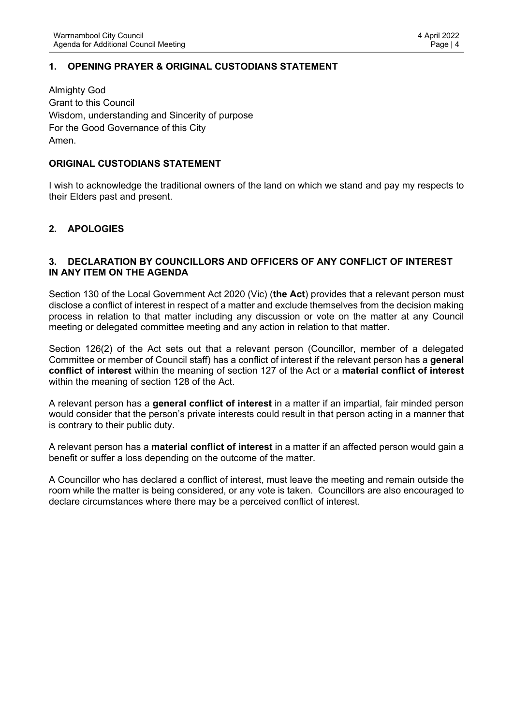## <span id="page-3-0"></span>**1. OPENING PRAYER & ORIGINAL CUSTODIANS STATEMENT**

Almighty God Grant to this Council Wisdom, understanding and Sincerity of purpose For the Good Governance of this City Amen.

#### **ORIGINAL CUSTODIANS STATEMENT**

I wish to acknowledge the traditional owners of the land on which we stand and pay my respects to their Elders past and present.

## <span id="page-3-1"></span>**2. APOLOGIES**

#### <span id="page-3-2"></span>**3. DECLARATION BY COUNCILLORS AND OFFICERS OF ANY CONFLICT OF INTEREST IN ANY ITEM ON THE AGENDA**

Section 130 of the Local Government Act 2020 (Vic) (**the Act**) provides that a relevant person must disclose a conflict of interest in respect of a matter and exclude themselves from the decision making process in relation to that matter including any discussion or vote on the matter at any Council meeting or delegated committee meeting and any action in relation to that matter.

Section 126(2) of the Act sets out that a relevant person (Councillor, member of a delegated Committee or member of Council staff) has a conflict of interest if the relevant person has a **general conflict of interest** within the meaning of section 127 of the Act or a **material conflict of interest**  within the meaning of section 128 of the Act.

A relevant person has a **general conflict of interest** in a matter if an impartial, fair minded person would consider that the person's private interests could result in that person acting in a manner that is contrary to their public duty.

A relevant person has a **material conflict of interest** in a matter if an affected person would gain a benefit or suffer a loss depending on the outcome of the matter.

A Councillor who has declared a conflict of interest, must leave the meeting and remain outside the room while the matter is being considered, or any vote is taken. Councillors are also encouraged to declare circumstances where there may be a perceived conflict of interest.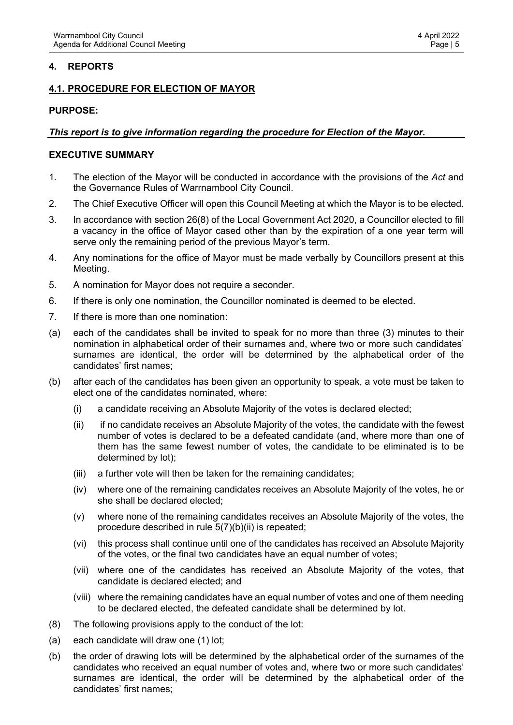## <span id="page-4-0"></span>**4. REPORTS**

## <span id="page-4-1"></span>**4.1. PROCEDURE FOR ELECTION OF MAYOR**

#### **PURPOSE:**

#### *This report is to give information regarding the procedure for Election of the Mayor.*

#### **EXECUTIVE SUMMARY**

- 1. The election of the Mayor will be conducted in accordance with the provisions of the *Act* and the Governance Rules of Warrnambool City Council.
- 2. The Chief Executive Officer will open this Council Meeting at which the Mayor is to be elected.
- 3. In accordance with section 26(8) of the Local Government Act 2020, a Councillor elected to fill a vacancy in the office of Mayor cased other than by the expiration of a one year term will serve only the remaining period of the previous Mayor's term.
- 4. Any nominations for the office of Mayor must be made verbally by Councillors present at this Meeting.
- 5. A nomination for Mayor does not require a seconder.
- 6. If there is only one nomination, the Councillor nominated is deemed to be elected.
- 7. If there is more than one nomination:
- (a) each of the candidates shall be invited to speak for no more than three (3) minutes to their nomination in alphabetical order of their surnames and, where two or more such candidates' surnames are identical, the order will be determined by the alphabetical order of the candidates' first names;
- (b) after each of the candidates has been given an opportunity to speak, a vote must be taken to elect one of the candidates nominated, where:
	- (i) a candidate receiving an Absolute Majority of the votes is declared elected;
	- (ii) if no candidate receives an Absolute Majority of the votes, the candidate with the fewest number of votes is declared to be a defeated candidate (and, where more than one of them has the same fewest number of votes, the candidate to be eliminated is to be determined by lot);
	- (iii) a further vote will then be taken for the remaining candidates;
	- (iv) where one of the remaining candidates receives an Absolute Majority of the votes, he or she shall be declared elected;
	- (v) where none of the remaining candidates receives an Absolute Majority of the votes, the procedure described in rule 5(7)(b)(ii) is repeated;
	- (vi) this process shall continue until one of the candidates has received an Absolute Majority of the votes, or the final two candidates have an equal number of votes;
	- (vii) where one of the candidates has received an Absolute Majority of the votes, that candidate is declared elected; and
	- (viii) where the remaining candidates have an equal number of votes and one of them needing to be declared elected, the defeated candidate shall be determined by lot.
- (8) The following provisions apply to the conduct of the lot:
- (a) each candidate will draw one (1) lot;
- (b) the order of drawing lots will be determined by the alphabetical order of the surnames of the candidates who received an equal number of votes and, where two or more such candidates' surnames are identical, the order will be determined by the alphabetical order of the candidates' first names;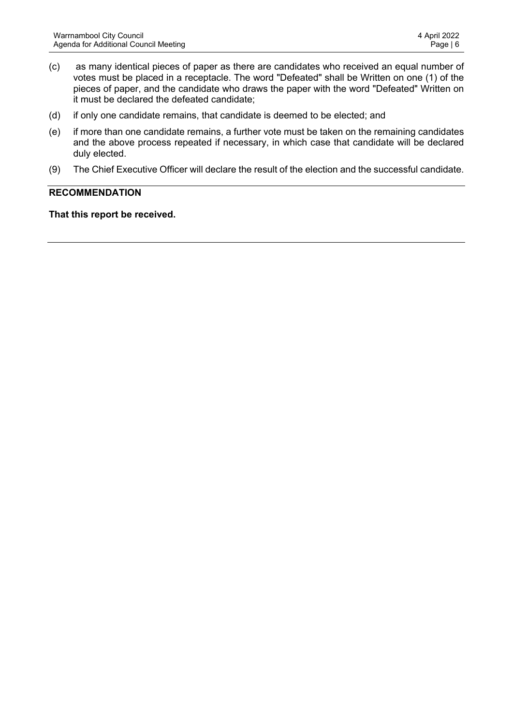- (c) as many identical pieces of paper as there are candidates who received an equal number of votes must be placed in a receptacle. The word "Defeated" shall be Written on one (1) of the pieces of paper, and the candidate who draws the paper with the word "Defeated" Written on it must be declared the defeated candidate;
- (d) if only one candidate remains, that candidate is deemed to be elected; and
- (e) if more than one candidate remains, a further vote must be taken on the remaining candidates and the above process repeated if necessary, in which case that candidate will be declared duly elected.
- (9) The Chief Executive Officer will declare the result of the election and the successful candidate.

#### **RECOMMENDATION**

**That this report be received.**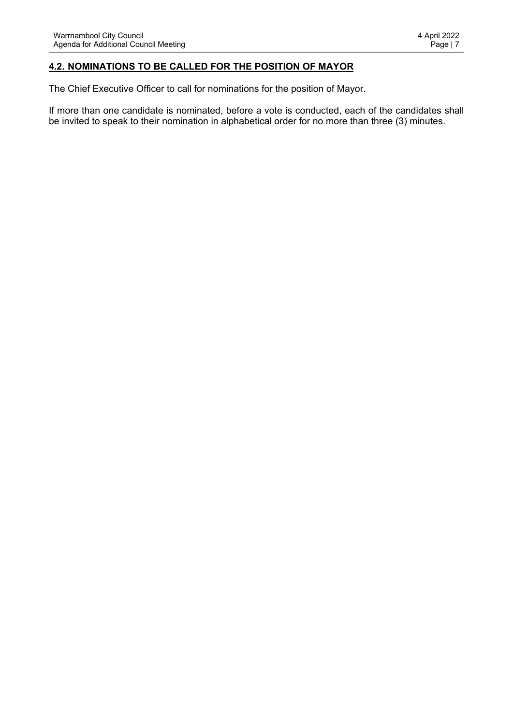## <span id="page-6-0"></span>**4.2. NOMINATIONS TO BE CALLED FOR THE POSITION OF MAYOR**

The Chief Executive Officer to call for nominations for the position of Mayor.

If more than one candidate is nominated, before a vote is conducted, each of the candidates shall be invited to speak to their nomination in alphabetical order for no more than three (3) minutes.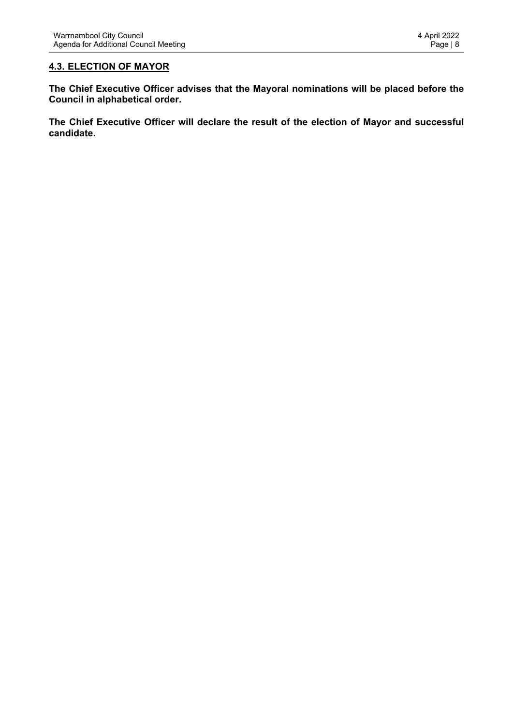## <span id="page-7-0"></span>**4.3. ELECTION OF MAYOR**

**The Chief Executive Officer advises that the Mayoral nominations will be placed before the Council in alphabetical order.**

**The Chief Executive Officer will declare the result of the election of Mayor and successful candidate.**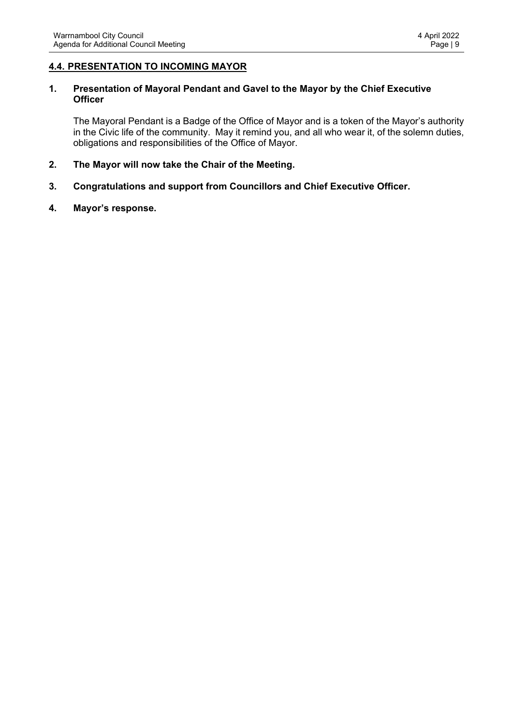#### <span id="page-8-0"></span>**4.4. PRESENTATION TO INCOMING MAYOR**

#### **1. Presentation of Mayoral Pendant and Gavel to the Mayor by the Chief Executive Officer**

The Mayoral Pendant is a Badge of the Office of Mayor and is a token of the Mayor's authority in the Civic life of the community. May it remind you, and all who wear it, of the solemn duties, obligations and responsibilities of the Office of Mayor.

- **2. The Mayor will now take the Chair of the Meeting.**
- **3. Congratulations and support from Councillors and Chief Executive Officer.**
- **4. Mayor's response.**